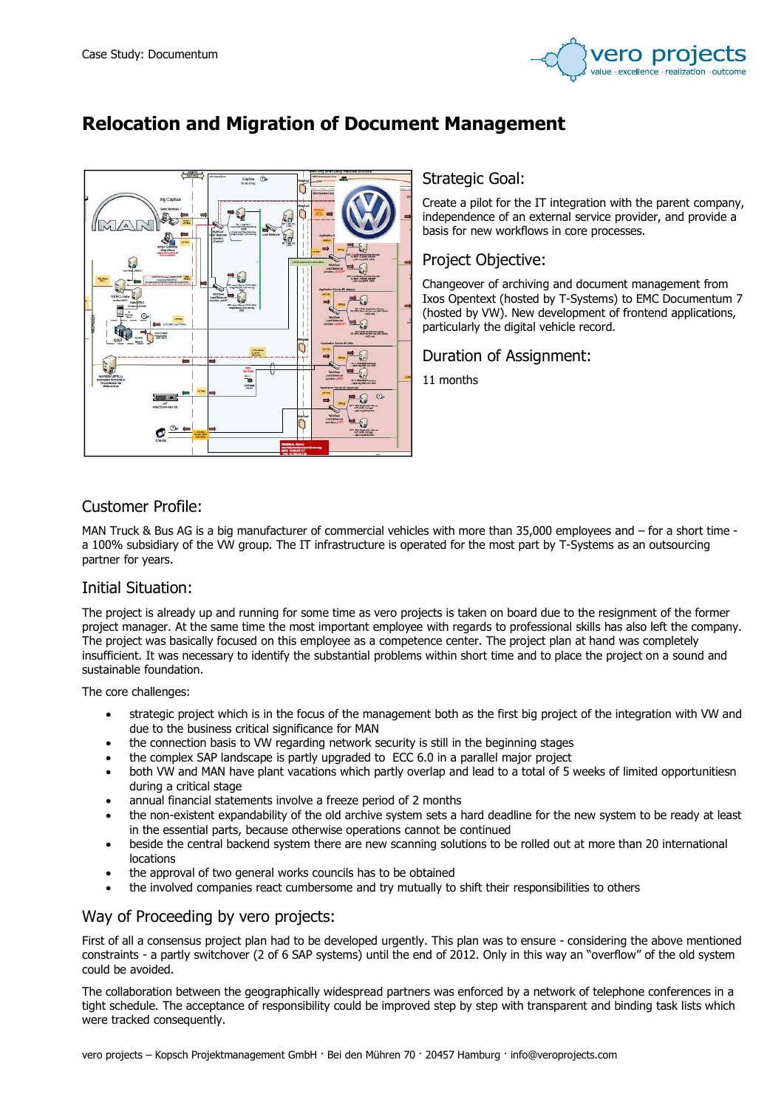

# Relocation and Migration of Document Management



#### Strategic Goal:

Create a pilot for the IT integration with the parent company, independence of an external service provider, and provide a basis for new workflows in core processes.

### Project Objective:

Changeover of archiving and document management from Ixos Opentext (hosted by T-Systems) to EMC Documentum 7 (hosted by VW). New development of frontend applications, particularly the digital vehicle record.

Duration of Assignment:

11 months

# Customer Profile:

MAN Truck & Bus AG is a big manufacturer of commercial vehicles with more than 35,000 employees and – for a short time a 100% subsidiary of the VW group. The IT infrastructure is operated for the most part by T-Systems as an outsourcing partner for years.

# Initial Situation:

The project is already up and running for some time as vero projects is taken on board due to the resignment of the former project manager. At the same time the most important employee with regards to professional skills has also left the company. The project was basically focused on this employee as a competence center. The project plan at hand was completely insufficient. It was necessary to identify the substantial problems within short time and to place the project on a sound and sustainable foundation.

The core challenges:

- strategic project which is in the focus of the management both as the first big project of the integration with VW and due to the business critical significance for MAN
- the connection basis to VW regarding network security is still in the beginning stages
- the complex SAP landscape is partly upgraded to ECC 6.0 in a parallel major project
- both VW and MAN have plant vacations which partly overlap and lead to a total of 5 weeks of limited opportunitiesn during a critical stage
- annual financial statements involve a freeze period of 2 months
- the non-existent expandability of the old archive system sets a hard deadline for the new system to be ready at least in the essential parts, because otherwise operations cannot be continued
- beside the central backend system there are new scanning solutions to be rolled out at more than 20 international locations
- the approval of two general works councils has to be obtained
- the involved companies react cumbersome and try mutually to shift their responsibilities to others

# Way of Proceeding by vero projects:

First of all a consensus project plan had to be developed urgently. This plan was to ensure - considering the above mentioned constraints - a partly switchover (2 of 6 SAP systems) until the end of 2012. Only in this way an "overflow" of the old system could be avoided.

The collaboration between the geographically widespread partners was enforced by a network of telephone conferences in a tight schedule. The acceptance of responsibility could be improved step by step with transparent and binding task lists which were tracked consequently.